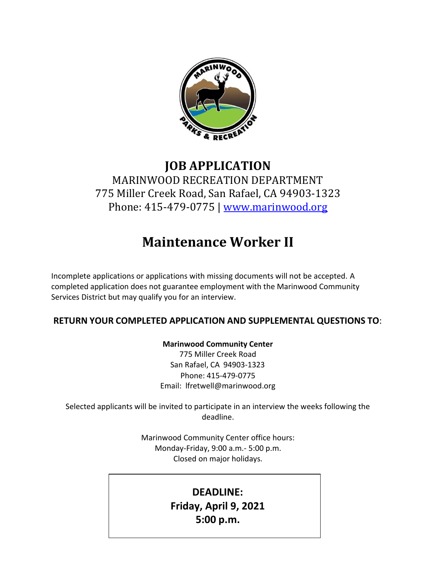

# **JOB APPLICATION** MARINWOOD RECREATION DEPARTMENT 775 Miller Creek Road, San Rafael, CA 94903-1323 Phone: 415-479-0775 | [www.marinwood.org](http://www.marinwood.org/)

# **Maintenance Worker II**

Incomplete applications or applications with missing documents will not be accepted. A completed application does not guarantee employment with the Marinwood Community Services District but may qualify you for an interview.

## **RETURN YOUR COMPLETED APPLICATION AND SUPPLEMENTAL QUESTIONS TO**:

#### **Marinwood Community Center**

775 Miller Creek Road San Rafael, CA 94903-1323 Phone: 415-479-0775 Email: [lfretwell@marinwood.org](mailto:lfretwell@marinwood.org)

Selected applicants will be invited to participate in an interview the weeks following the deadline.

> Marinwood Community Center office hours: Monday-Friday, 9:00 a.m.- 5:00 p.m. Closed on major holidays.

# **DEADLINE: Friday, April 9, 2021 5:00 p.m.**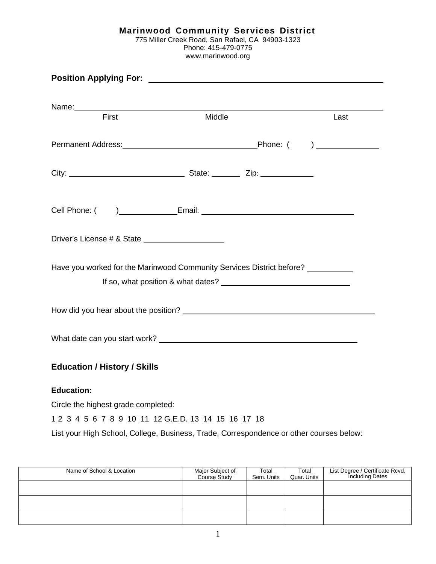| Marinwood Community Services District            |  |
|--------------------------------------------------|--|
| 775 Miller Creek Road, San Rafael, CA 94903-1323 |  |
| Phone: 415-479-0775                              |  |
| www.marinwood.org                                |  |

|                                                                                  |  | Last |  |  |
|----------------------------------------------------------------------------------|--|------|--|--|
|                                                                                  |  |      |  |  |
|                                                                                  |  |      |  |  |
|                                                                                  |  |      |  |  |
|                                                                                  |  |      |  |  |
| Driver's License # & State ______________________                                |  |      |  |  |
| Have you worked for the Marinwood Community Services District before? __________ |  |      |  |  |
|                                                                                  |  |      |  |  |
|                                                                                  |  |      |  |  |
| <b>Education / History / Skills</b>                                              |  |      |  |  |
| <b>Education:</b>                                                                |  |      |  |  |
| Circle the highest grade completed:                                              |  |      |  |  |
| 1 2 3 4 5 6 7 8 9 10 11 12 G.E.D. 13 14 15 16 17 18                              |  |      |  |  |

List your High School, College, Business, Trade, Correspondence or other courses below:

| Name of School & Location | Major Subject of<br>Course Study | Total<br>Sem. Units | Total<br>Quar. Units | List Degree / Certificate Rcvd.<br>Including Dates |
|---------------------------|----------------------------------|---------------------|----------------------|----------------------------------------------------|
|                           |                                  |                     |                      |                                                    |
|                           |                                  |                     |                      |                                                    |
|                           |                                  |                     |                      |                                                    |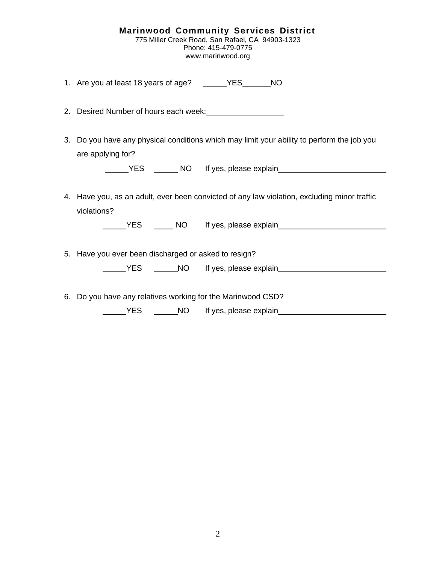| <b>Marinwood Community Services District</b>     |
|--------------------------------------------------|
| 775 Miller Creek Road, San Rafael, CA 94903-1323 |
| Phone: 415-479-0775                              |
| www.marinwood.org                                |

1. Are you at least 18 years of age? YES NO

- 2. Desired Number of hours each week:
- 3. Do you have any physical conditions which may limit your ability to perform the job you are applying for?

| <b>YES</b> | <b>NO</b> | lf١ |
|------------|-----------|-----|
|            |           |     |

yes, please explain

4. Have you, as an adult, ever been convicted of any law violation, excluding minor traffic violations?

| YES | NO. | If yes, please explain |  |
|-----|-----|------------------------|--|
|     |     |                        |  |

5. Have you ever been discharged or asked to resign?

| NO. | If yes, please explain |  |
|-----|------------------------|--|
|     |                        |  |

6. Do you have any relatives working for the Marinwood CSD?

YES NO If yes, please explain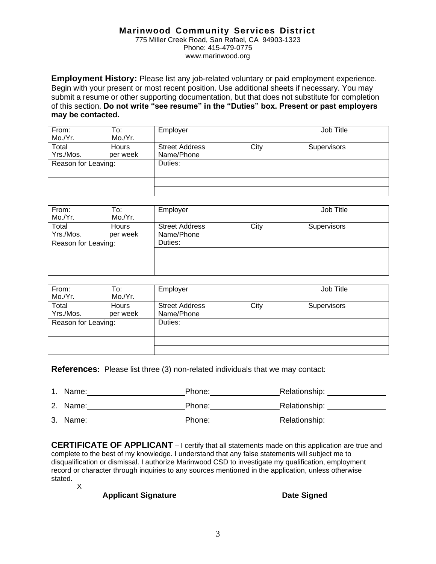#### **Marinwood Community Services District**

775 Miller Creek Road, San Rafael, CA 94903-1323 Phone: 415-479-0775 [www.marinwood.org](http://www.marinwood.org/)

**Employment History:** Please list any job-related voluntary or paid employment experience. Begin with your present or most recent position. Use additional sheets if necessary. You may submit a resume or other supporting documentation, but that does not substitute for completion of this section. **Do not write "see resume" in the "Duties" box. Present or past employers may be contacted.**

| From:<br>Mo./Yr.    | To:<br>Mo./Yr.           | Employer                            |      | Job Title          |
|---------------------|--------------------------|-------------------------------------|------|--------------------|
| Total<br>Yrs./Mos.  | <b>Hours</b><br>per week | <b>Street Address</b><br>Name/Phone | City | <b>Supervisors</b> |
| Reason for Leaving: |                          | Duties:                             |      |                    |
|                     |                          |                                     |      |                    |
|                     |                          |                                     |      |                    |

| From:               | To:          | Employer              |      | Job Title          |  |
|---------------------|--------------|-----------------------|------|--------------------|--|
| Mo./Yr.             | Mo./Yr.      |                       |      |                    |  |
| Total               | <b>Hours</b> | <b>Street Address</b> | City | <b>Supervisors</b> |  |
| Yrs./Mos.           | per week     | Name/Phone            |      |                    |  |
| Reason for Leaving: |              | Duties:               |      |                    |  |
|                     |              |                       |      |                    |  |
|                     |              |                       |      |                    |  |
|                     |              |                       |      |                    |  |

| From:<br>Mo./Yr.    | To:<br>Mo./Yr.           | Employer                            |      | Job Title          |
|---------------------|--------------------------|-------------------------------------|------|--------------------|
| Total<br>Yrs./Mos.  | <b>Hours</b><br>per week | <b>Street Address</b><br>Name/Phone | City | <b>Supervisors</b> |
| Reason for Leaving: |                          | Duties:                             |      |                    |
|                     |                          |                                     |      |                    |

**References:** Please list three (3) non-related individuals that we may contact:

| Name:    | Phone: | Relationship: |
|----------|--------|---------------|
| 2. Name: | Phone: | Relationship: |
| 3. Name: | Phone: | Relationship: |

**CERTIFICATE OF APPLICANT** – I certify that all statements made on this application are true and complete to the best of my knowledge. I understand that any false statements will subject me to disqualification or dismissal. I authorize Marinwood CSD to investigate my qualification, employment record or character through inquiries to any sources mentioned in the application, unless otherwise stated.

X

**Applicant Signature Date Signed**